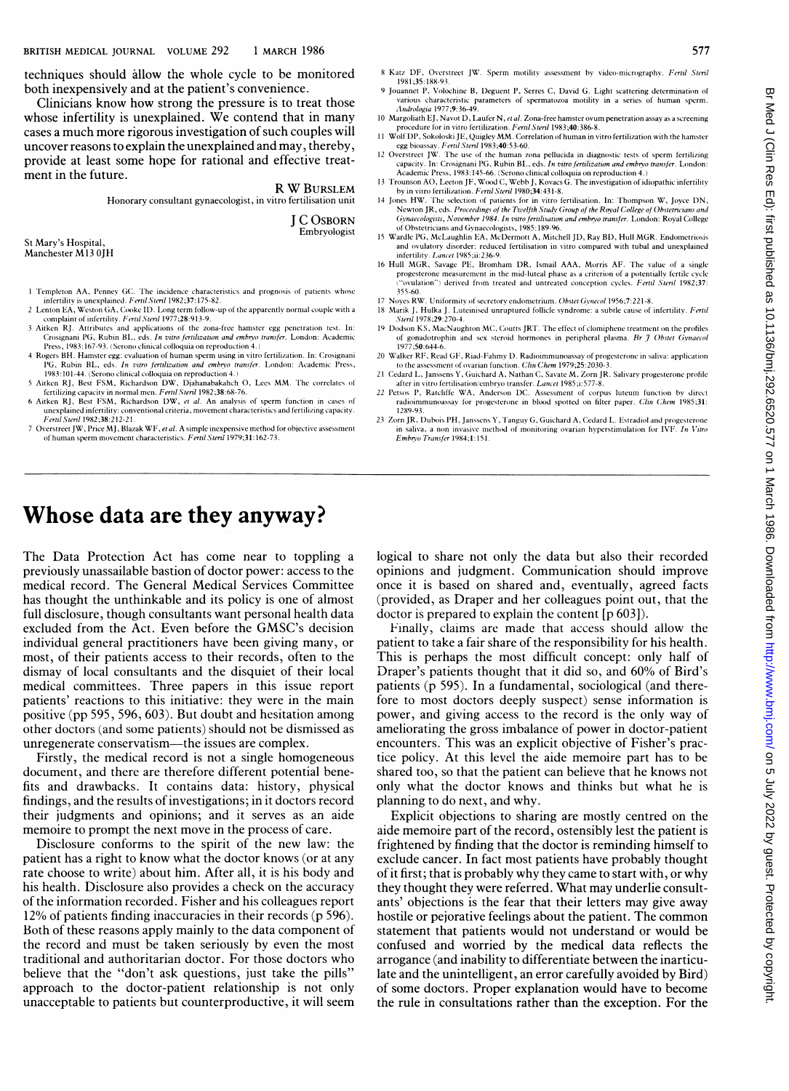techniques should 'allow ibe whole cycle to be monitored both inexpensively and at the patient's convenience.

Clinicians know how strong the pressure is to treat those whose infertility is unexplained. We contend that in many cases a much more rigorous investigation of such couples will uncover reasons to explain the unexplained and may, thereby, provide at least some hope for rational and effective treatment in the future.

<sup>R</sup> WBURSLEM

Honorary consultant gynaecologist, in vitro fertilisation unit

St Mary's Hospital, Manchester M13 OJH <sup>J</sup> C OSBORN Embryologist

- <sup>I</sup> Templeton AA, Penney GC. The incidence characteristics and prognosis of patients whose infertility is unexplained. Fertil Steril 1982;37:175-82.
- 2 Lenton EA, Weston GA, Cooke ID. Long term follow-up of the apparently normal couple with a complaint of infertility. Fertil Steril 1977;28:913-9.
- 3 Aitken RJ. Attributes and applications of the zona-free hamster egg penetration test. In: Crosignani PG, Rubin BL, eds*. In vitro fertilization and embryo transfer*. London: Academic<br>Press, 1983:167-93. (Serono clinical colloquia on reproduction 4.)
- 4 Rogers BH. Hamster egg: evaluation of human sperm using in vitro fertilization. In: Crosignani PG, Rubin BL, eds. In vitro fertilization and embryo transfer. London: Academic Press,
- 1983:101-44. (Serono clinical colloquia on reproduction 4.) <sup>5</sup> Aitken RJ, Best FSM, Richardson DW, Djahanabakahch 0, Lees MM. The correlates of
- fertilizing capacity in normal men. Fertil Steril 1982;38:68-76.<br>6 Aitken RJ, Best FSM, Richardson DW, et al. An analysis of sperm function in cases of unexplained infertility: conventional criteria, movement characteristics and fertilizing capacity.<br>*Fertil Steril* 1982;**38**:212-21.
- <sup>7</sup> Overstreet JW, Price MJ, Blazak WF, et al. A simple inexpensive method for objective assessment of human sperm movement characteristics. Fertil Steril 1979;31:162-73.
- Whose data are they anyway?

The Data Protection Act has come near to toppling a previously unassailable bastion of doctor power: access to the medical record. The General Medical Services Committee has thought the unthinkable and its policy is one of almost full disclosure, though consultants want personal health data excluded from the Act. Even before the GMSC's decision individual general practitioners have been giving many, or most, of their patients access to their records, often to the dismay of local consultants and the disquiet of their local medical committees. Three papers in this issue report patients' reactions to this initiative: they were in the main positive (pp 595, 596, 603). But doubt and hesitation among other doctors (and some patients) should not be dismissed as unregenerate conservatism--- the issues are complex.

Firstly, the medical record is not a single homogeneous document, and there are therefore different potential benefits and drawbacks. It contains data: history, physical findings, and the results of investigations; in it doctors record their judgments and opinions; and it serves as an aide memoire to prompt the next move in the process of care.

Disclosure conforms to the spirit of the new law: the patient has a right to know what the doctor knows (or at any rate choose to write) about him. After all, it is his body and his health. Disclosure also provides a check on the accuracy of the information recorded. Fisher and his colleagues report 12% of patients finding inaccuracies in their records (p 596). Both of these reasons apply mainly to the data component of the record and must be taken seriously by even the most traditional and authoritarian doctor. For those doctors who believe that the "don't ask questions, just take the pills" approach to the doctor-patient relationship is not only unacceptable to patients but counterproductive, it will seem

- 8 Katz DF, Overstreet JW. Sperm motility assessment by video-micrography. Fertil Steril 1981 ;35: 188-93.
- 9 Jouannet P, Volochine B, Deguent P, Serres C, David G. Light scattering determination of various characteristic parameters of spermatozoa motility in a series of human sperm. Andrologia 1977;9:36-49.
- 10 Margoliath EJ, Navot D, Laufer N, et al. Zona-free hamster ovum penetration assay as a screening procedure for in vitro fertilization. Fertil Steril 1983;40:386-8.
- 11 Wolf DP, Sokoloski JE, Quigley MM. Correlation of human in vitro fertilization with the hamster egg bioassay. Fertil Steril 1983;40:53-60.
- 12 Overstreet JW. The use of the human zona pellucida in diagnostic tests of sperm fertilizing capacity. In: Crosignani PG, Rubin BL, eds. In vitro fertilization and embryo transfer. London: Academic Press, 1983; 145-66. (Serono clinical colloquia on reproduction 4.)
- <sup>13</sup> Trounson AO, Leeton JF, Wood C, Webb J, Kovacs G. The investigation of idiopathic infertility by in vitro fertilization. Fertil Steril 1980;34:431-8.
- <sup>14</sup> Jones HW. The selection of patients for in vitro fertilisation, In: Thompson W, Joyce DN, Newton JR, eds. Proceedings of the Twelfth Study Group of the Royal College of Obstetricians and Gynaecologists, November 1984. In vitro fertilisation and embryo transfer. London: Royal College
- of Obstetricians and Gynaecologists, 1985:189-%. <sup>15</sup> Wardle PG, McLaughlin EA, McDermott A, Mitchell JD, Ray BD, Hull MGR. Endometriosis and ovulatory disorder: reduced fertilisation in vitro compared with tubal and unexplained infertility. Lancet 1985;ii:236-9.
- <sup>16</sup> Hull MGR, Savage PE, Bromham DR, Ismail AAA, Morris AF. The value of <sup>a</sup> single progesterone measurement in the mid-luteal phase as a criterion of a potentially fertile cycle 'ovulation") derived from treated and untreated conception cycles. Fertil Steril 1982;37: 355-60.
- <sup>17</sup> Noyes RW. Uniformity of secretory endometrium. Obstet Gynecol 1956;7:221-8.
- 18 Marik J, Hulka J. Luteinised unruptured follicle syndrome: a subtle cause of infertility. Fertil Steril 1978;29:270-4.
- 19 Dodson KS, MacNaughton MC, Coutts JRT. The effect of clomiphene treatment on the profiles of gonadotrophin and sex steroid hormones in peripheral plasma. Br J Obstet Gynaecol 1977;50:644-6;
- 20 Walker RF, Read GF, Riad-Fahmy D. Radioimmunoassay of progesterone in saliva: application to the assessment of ovarian function. Clin Chem 1979;25:2030-3. <sup>21</sup> Cedard L, Janssens Y, Guichard A, Nathan C, Savate M, Zorn JR. Salivary progesterone profile
- after in vitro fertilisation/embryo transfer. *Lancet* 1985;i:577-8.<br>22 Petsos P, Ratcliffe WA, Anderson DC. Assessment of corpus luteum function by direct radioimmunoassay for progesterone in blood spotted on filter paper. Clin Chem 1985;31:
- 1289-93. 23 Zorn JR, Dubois PH, Janssens Y, Tanguy G, Guichard A, Cedard L. Estradiol and progesterone in saliva, a non invasive method of monitoring ovarian hyperstimulation for IVF. In Vitro Embryo Transfer 1984;1:151.

logical to share not only the data but also their recorded opinions and judgment. Communication should improve once it is based on shared and, eventually, agreed facts (provided, as Draper and her colleagues point out, that the doctor is prepared to explain the content [p 603]).

Finally, claims are made that access should allow, the patient to take a fair share of the responsibility for his health. This is perhaps the most difficult concept: only half of Draper's patients thought that it did so, and 60% of Bird's patients (p 595). In a fundamental, sociological (and therefore to most doctors deeply suspect) sense information is power, and giving access to the record is the only way of ameliorating the gross imbalance of power in doctor-patient encounters. This was an explicit objective of Fisher's practice policy. At this level the aide memoire part has to be shared too, so that the patient can believe that he knows not only what the doctor knows and thinks but what he is planning to do next, and why.

Explicit objections to sharing are mostly centred on the aide memoire part of the record, ostensibly lest the patient is frightened by finding that the doctor is reminding himself to exclude cancer. In fact most patients have probably thought of it first; that is probably why they came to start with, or why they thought they were referred. What may underlie consultants' objections is the fear that their letters may give away hostile or pejorative feelings about the patient. The common statement that patients would not understand or would be confused and: worried by the medical data reflects the arrogance (and inability to differentiate between the inarticulate and the unintelligent, an error carefully avoided by Bird) of some doctors. Proper explanation would have to become the rule in consultations rather than the exception.. For the